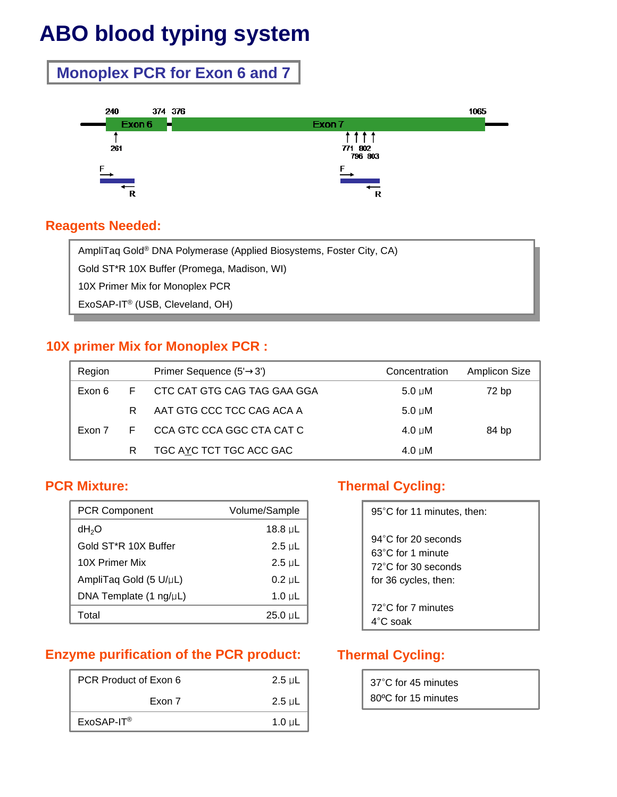# **ABO blood typing system**

# **Monoplex PCR for Exon 6 and 7**



### **Reagents Needed:**

AmpliTaq Gold® DNA Polymerase (Applied Biosystems, Foster City, CA) Gold ST\*R 10X Buffer (Promega, Madison, WI) 10X Primer Mix for Monoplex PCR ExoSAP-IT® (USB, Cleveland, OH)

# **10X primer Mix for Monoplex PCR :**

| Region |    | Primer Sequence (5' 3')     | Concentration    | Amplicon Size |
|--------|----|-----------------------------|------------------|---------------|
| Exon 6 | F. | CTC CAT GTG CAG TAG GAA GGA | $5.0 \text{ uM}$ | 72 bp         |
|        | R. | AAT GTG CCC TCC CAG ACA A   | $5.0 \text{ uM}$ |               |
| Exon 7 | F. | CCA GTC CCA GGC CTA CAT C   | $4.0 \text{ uM}$ | 84 bp         |
|        |    | TGC AYC TCT TGC ACC GAC     | $4.0 \mu M$      |               |

# **PCR Mixture:**

| <b>PCR Component</b>             | Volume/Sample |
|----------------------------------|---------------|
| dH <sub>2</sub> O                | 18.8 µL       |
| Gold ST*R 10X Buffer             | $2.5$ uL      |
| 10X Primer Mix                   | $2.5$ uL      |
| AmpliTag Gold (5 U/µL)           | $0.2 \mu L$   |
| DNA Template $(1 \text{ ng/µL})$ | 1.0 $\mu$ L   |
| Total                            | $25.0 \mu L$  |

# **Enzyme purification of the PCR product:**

| PCR Product of Exon 6  | $2.5$ µL    |
|------------------------|-------------|
| Exon 7                 | $2.5$ µL    |
| ExoSAP-IT <sup>®</sup> | 1.0 $\mu$ L |

# **Thermal Cycling:**

| 95°C for 11 minutes, then:                                                                                  |
|-------------------------------------------------------------------------------------------------------------|
| $94^{\circ}$ C for 20 seconds<br>$63^{\circ}$ C for 1 minute<br>72°C for 30 seconds<br>for 36 cycles, then: |
| 72°C for 7 minutes<br>$4^{\circ}$ C soak                                                                    |

# **Thermal Cycling:**

| 37°C for 45 minutes |  |
|---------------------|--|
| 80°C for 15 minutes |  |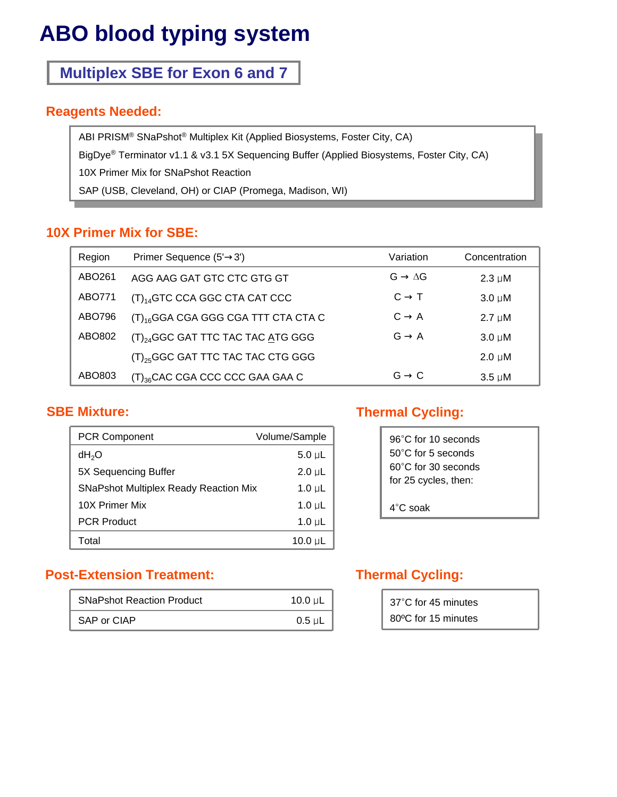# **ABO blood typing system**

# **Multiplex SBE for Exon 6 and 7**

#### **Reagents Needed:**

ABI PRISM® SNaPshot® Multiplex Kit (Applied Biosystems, Foster City, CA) BigDye® Terminator v1.1 & v3.1 5X Sequencing Buffer (Applied Biosystems, Foster City, CA) 10X Primer Mix for SNaPshot Reaction SAP (USB, Cleveland, OH) or CIAP (Promega, Madison, WI)

# **10X Primer Mix for SBE:**

| Region | Primer Sequence (5' 3')                       |   | Variation | Concentration |
|--------|-----------------------------------------------|---|-----------|---------------|
| ABO261 | AGG AAG GAT GTC CTC GTG GT                    | G | ΔG        | $2.3 \mu M$   |
| ABO771 | $(T)_{14}$ GTC CCA GGC CTA CAT CCC            | C | $\top$    | $3.0 \mu M$   |
| ABO796 | $(T)_{16}$ GGA CGA GGG CGA TTT CTA CTA C      | C | A         | $2.7 \mu M$   |
| ABO802 | (T) <sub>24</sub> GGC GAT TTC TAC TAC ATG GGG | G | A         | $3.0 \mu M$   |
|        | $(T)_{25}$ GGC GAT TTC TAC TAC CTG GGG        |   |           | $2.0 \mu M$   |
| ABO803 | $(T)_{36}$ CAC CGA CCC CCC GAA GAA C          | G | C         | $3.5 \mu M$   |

#### **SBE Mixture:**

| <b>PCR Component</b>                         | Volume/Sample |
|----------------------------------------------|---------------|
| dH <sub>2</sub> O                            | $5.0 \mu L$   |
| 5X Sequencing Buffer                         | $2.0 \mu L$   |
| <b>SNaPshot Multiplex Ready Reaction Mix</b> | 1.0 $\mu$ L   |
| 10X Primer Mix                               | 1.0 $\mu$ L   |
| <b>PCR Product</b>                           | 1.0 $\mu$ L   |
| Total                                        | 10.0 $\mu$ L  |

# **Thermal Cycling:**

| 96°C for 10 seconds          |
|------------------------------|
| $50^{\circ}$ C for 5 seconds |
| 60°C for 30 seconds          |
| for 25 cycles, then:         |
|                              |
| $4^{\circ}$ C soak           |

# **Post-Extension Treatment:**

| <b>SNaPshot Reaction Product</b> | 10.0 $\mu$ L     |
|----------------------------------|------------------|
| SAP or CIAP                      | ı<br>$0.5 \mu L$ |

# **Thermal Cycling:**

| 37°C for 45 minutes |
|---------------------|
| 80°C for 15 minutes |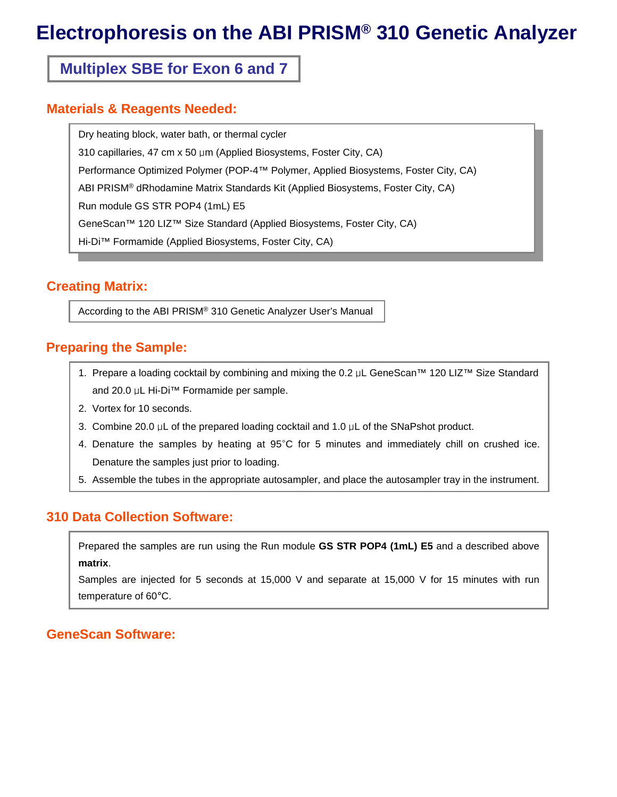# **Electrophoresis on the ABI PRISM® 310 Genetic Analyzer**

# **Multiplex SBE for Exon 6 and 7**

#### **Materials & Reagents Needed:**

Dry heating block, water bath, or thermal cycler 310 capillaries, 47 cm x 50 μm (Applied Biosystems, Foster City, CA) Performance Optimized Polymer (POP-4™ Polymer, Applied Biosystems, Foster City, CA) ABI PRISM® dRhodamine Matrix Standards Kit (Applied Biosystems, Foster City, CA) Run module GS STR POP4 (1mL) E5 GeneScan™ 120 LIZ™ Size Standard (Applied Biosystems, Foster City, CA) Hi-Di™ Formamide (Applied Biosystems, Foster City, CA)

#### **Creating Matrix:**

According to the ABI PRISM® 310 Genetic Analyzer User's Manual

#### **Preparing the Sample:**

- 1. Prepare a loading cocktail by combining and mixing the 0.2 μL GeneScan™ 120 LIZ™ Size Standard and 20.0 μL Hi-Di™ Formamide per sample.
- 2. Vortex for 10 seconds.
- 3. Combine 20.0 μL of the prepared loading cocktail and 1.0 μL of the SNaPshot product.
- 4. Denature the samples by heating at 95°C for 5 minutes and immediately chill on crushed ice. Denature the samples just prior to loading.
- 5. Assemble the tubes in the appropriate autosampler, and place the autosampler tray in the instrument.

#### **310 Data Collection Software:**

Prepared the samples are run using the Run module **GS STR POP4 (1mL) E5** and a described above **matrix**.

Samples are injected for 5 seconds at 15,000 V and separate at 15,000 V for 15 minutes with run temperature of 60°C.

#### **GeneScan Software:**